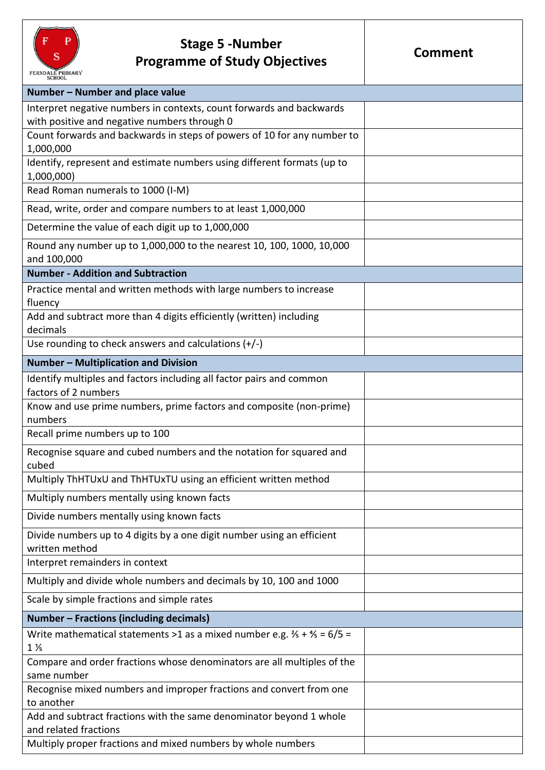

## **Stage 5 -Number Programme of Study Objectives**

| Number - Number and place value                                                               |  |
|-----------------------------------------------------------------------------------------------|--|
| Interpret negative numbers in contexts, count forwards and backwards                          |  |
| with positive and negative numbers through 0                                                  |  |
| Count forwards and backwards in steps of powers of 10 for any number to                       |  |
| 1,000,000                                                                                     |  |
| Identify, represent and estimate numbers using different formats (up to                       |  |
| 1,000,000)                                                                                    |  |
| Read Roman numerals to 1000 (I-M)                                                             |  |
| Read, write, order and compare numbers to at least 1,000,000                                  |  |
| Determine the value of each digit up to 1,000,000                                             |  |
| Round any number up to 1,000,000 to the nearest 10, 100, 1000, 10,000                         |  |
| and 100,000                                                                                   |  |
| <b>Number - Addition and Subtraction</b>                                                      |  |
| Practice mental and written methods with large numbers to increase                            |  |
| fluency                                                                                       |  |
| Add and subtract more than 4 digits efficiently (written) including                           |  |
| decimals                                                                                      |  |
| Use rounding to check answers and calculations (+/-)                                          |  |
| <b>Number - Multiplication and Division</b>                                                   |  |
| Identify multiples and factors including all factor pairs and common                          |  |
| factors of 2 numbers                                                                          |  |
| Know and use prime numbers, prime factors and composite (non-prime)                           |  |
| numbers                                                                                       |  |
| Recall prime numbers up to 100                                                                |  |
| Recognise square and cubed numbers and the notation for squared and                           |  |
| cubed                                                                                         |  |
| Multiply ThHTUxU and ThHTUxTU using an efficient written method                               |  |
| Multiply numbers mentally using known facts                                                   |  |
| Divide numbers mentally using known facts                                                     |  |
| Divide numbers up to 4 digits by a one digit number using an efficient                        |  |
| written method                                                                                |  |
| Interpret remainders in context                                                               |  |
| Multiply and divide whole numbers and decimals by 10, 100 and 1000                            |  |
| Scale by simple fractions and simple rates                                                    |  |
| Number - Fractions (including decimals)                                                       |  |
| Write mathematical statements >1 as a mixed number e.g. $\frac{2}{5}$ + $\frac{4}{5}$ = 6/5 = |  |
| $1\%$                                                                                         |  |
| Compare and order fractions whose denominators are all multiples of the                       |  |
| same number                                                                                   |  |
| Recognise mixed numbers and improper fractions and convert from one<br>to another             |  |
| Add and subtract fractions with the same denominator beyond 1 whole                           |  |
| and related fractions                                                                         |  |
| Multiply proper fractions and mixed numbers by whole numbers                                  |  |